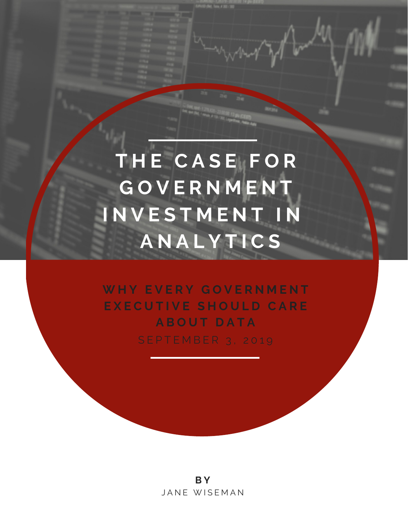**T H E C A S E F O R G O V E R N M E N T I N V E S T M E N T I N A N A L Y T I C S**

**W H Y E V E R Y G O V E R N M E N T E X E C U T I V E S H O U L D C A R E A B O U T D A T A** S E P T E M B E R 3, 2019

> **B Y** JANE WISEMAN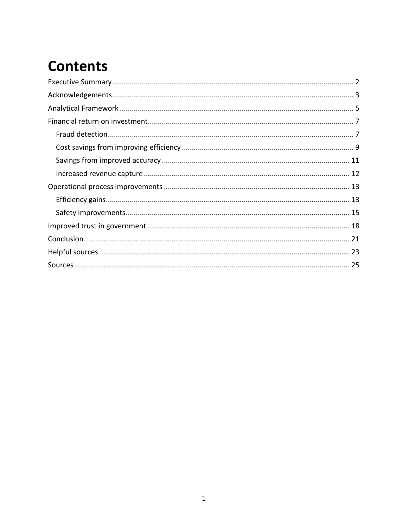# **Contents**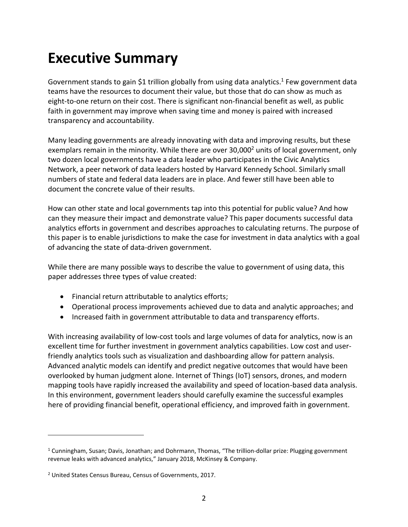# <span id="page-2-0"></span>**Executive Summary**

Government stands to gain \$1 trillion globally from using data analytics.<sup>1</sup> Few government data teams have the resources to document their value, but those that do can show as much as eight-to-one return on their cost. There is significant non-financial benefit as well, as public faith in government may improve when saving time and money is paired with increased transparency and accountability.

Many leading governments are already innovating with data and improving results, but these exemplars remain in the minority. While there are over 30,000<sup>2</sup> units of local government, only two dozen local governments have a data leader who participates in the Civic Analytics Network, a peer network of data leaders hosted by Harvard Kennedy School. Similarly small numbers of state and federal data leaders are in place. And fewer still have been able to document the concrete value of their results.

How can other state and local governments tap into this potential for public value? And how can they measure their impact and demonstrate value? This paper documents successful data analytics efforts in government and describes approaches to calculating returns. The purpose of this paper is to enable jurisdictions to make the case for investment in data analytics with a goal of advancing the state of data-driven government.

While there are many possible ways to describe the value to government of using data, this paper addresses three types of value created:

- Financial return attributable to analytics efforts;
- Operational process improvements achieved due to data and analytic approaches; and
- Increased faith in government attributable to data and transparency efforts.

With increasing availability of low-cost tools and large volumes of data for analytics, now is an excellent time for further investment in government analytics capabilities. Low cost and userfriendly analytics tools such as visualization and dashboarding allow for pattern analysis. Advanced analytic models can identify and predict negative outcomes that would have been overlooked by human judgment alone. Internet of Things (IoT) sensors, drones, and modern mapping tools have rapidly increased the availability and speed of location-based data analysis. In this environment, government leaders should carefully examine the successful examples here of providing financial benefit, operational efficiency, and improved faith in government.

 $1$  Cunningham, Susan; Davis, Jonathan; and Dohrmann, Thomas, "The trillion-dollar prize: Plugging government revenue leaks with advanced analytics," January 2018, McKinsey & Company.

<sup>2</sup> United States Census Bureau, Census of Governments, 2017.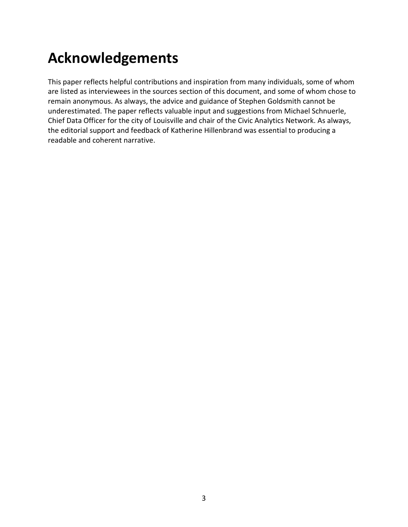# <span id="page-3-0"></span>**Acknowledgements**

This paper reflects helpful contributions and inspiration from many individuals, some of whom are listed as interviewees in the sources section of this document, and some of whom chose to remain anonymous. As always, the advice and guidance of Stephen Goldsmith cannot be underestimated. The paper reflects valuable input and suggestions from Michael Schnuerle, Chief Data Officer for the city of Louisville and chair of the Civic Analytics Network. As always, the editorial support and feedback of Katherine Hillenbrand was essential to producing a readable and coherent narrative.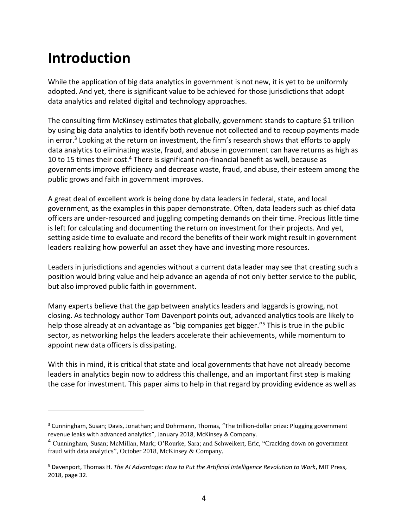# **Introduction**

 $\overline{a}$ 

While the application of big data analytics in government is not new, it is yet to be uniformly adopted. And yet, there is significant value to be achieved for those jurisdictions that adopt data analytics and related digital and technology approaches.

The consulting firm McKinsey estimates that globally, government stands to capture \$1 trillion by using big data analytics to identify both revenue not collected and to recoup payments made in error.<sup>3</sup> Looking at the return on investment, the firm's research shows that efforts to apply data analytics to eliminating waste, fraud, and abuse in government can have returns as high as 10 to 15 times their cost.<sup>4</sup> There is significant non-financial benefit as well, because as governments improve efficiency and decrease waste, fraud, and abuse, their esteem among the public grows and faith in government improves.

A great deal of excellent work is being done by data leaders in federal, state, and local government, as the examples in this paper demonstrate. Often, data leaders such as chief data officers are under-resourced and juggling competing demands on their time. Precious little time is left for calculating and documenting the return on investment for their projects. And yet, setting aside time to evaluate and record the benefits of their work might result in government leaders realizing how powerful an asset they have and investing more resources.

Leaders in jurisdictions and agencies without a current data leader may see that creating such a position would bring value and help advance an agenda of not only better service to the public, but also improved public faith in government.

Many experts believe that the gap between analytics leaders and laggards is growing, not closing. As technology author Tom Davenport points out, advanced analytics tools are likely to help those already at an advantage as "big companies get bigger."<sup>5</sup> This is true in the public sector, as networking helps the leaders accelerate their achievements, while momentum to appoint new data officers is dissipating.

With this in mind, it is critical that state and local governments that have not already become leaders in analytics begin now to address this challenge, and an important first step is making the case for investment. This paper aims to help in that regard by providing evidence as well as

<sup>&</sup>lt;sup>3</sup> Cunningham, Susan; Davis, Jonathan; and Dohrmann, Thomas, "The trillion-dollar prize: Plugging government revenue leaks with advanced analytics", January 2018, McKinsey & Company.

<sup>4</sup> Cunningham, Susan; McMillan, Mark; O'Rourke, Sara; and Schweikert, Eric, "Cracking down on government fraud with data analytics", October 2018, McKinsey & Company.

<sup>5</sup> Davenport, Thomas H. *The AI Advantage: How to Put the Artificial Intelligence Revolution to Work*, MIT Press, 2018, page 32.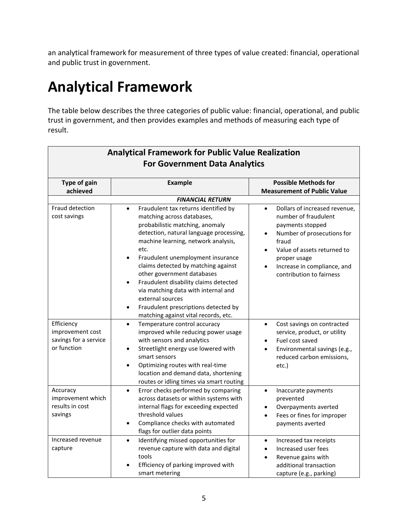an analytical framework for measurement of three types of value created: financial, operational and public trust in government.

# <span id="page-5-0"></span>**Analytical Framework**

The table below describes the three categories of public value: financial, operational, and public trust in government, and then provides examples and methods of measuring each type of result.

| <b>Analytical Framework for Public Value Realization</b><br><b>For Government Data Analytics</b> |                                                                                                                                                                                                                                                                                                                                                                                                                                                                                                                                                   |                                                                                                                                                                                                                                                                                |  |
|--------------------------------------------------------------------------------------------------|---------------------------------------------------------------------------------------------------------------------------------------------------------------------------------------------------------------------------------------------------------------------------------------------------------------------------------------------------------------------------------------------------------------------------------------------------------------------------------------------------------------------------------------------------|--------------------------------------------------------------------------------------------------------------------------------------------------------------------------------------------------------------------------------------------------------------------------------|--|
| <b>Type of gain</b><br>achieved                                                                  | <b>Example</b>                                                                                                                                                                                                                                                                                                                                                                                                                                                                                                                                    | <b>Possible Methods for</b><br><b>Measurement of Public Value</b>                                                                                                                                                                                                              |  |
|                                                                                                  | <b>FINANCIAL RETURN</b>                                                                                                                                                                                                                                                                                                                                                                                                                                                                                                                           |                                                                                                                                                                                                                                                                                |  |
| Fraud detection<br>cost savings                                                                  | Fraudulent tax returns identified by<br>$\bullet$<br>matching across databases,<br>probabilistic matching, anomaly<br>detection, natural language processing,<br>machine learning, network analysis,<br>etc.<br>Fraudulent unemployment insurance<br>$\bullet$<br>claims detected by matching against<br>other government databases<br>Fraudulent disability claims detected<br>$\bullet$<br>via matching data with internal and<br>external sources<br>Fraudulent prescriptions detected by<br>$\bullet$<br>matching against vital records, etc. | Dollars of increased revenue,<br>$\bullet$<br>number of fraudulent<br>payments stopped<br>Number of prosecutions for<br>$\bullet$<br>fraud<br>Value of assets returned to<br>$\bullet$<br>proper usage<br>Increase in compliance, and<br>$\bullet$<br>contribution to fairness |  |
| Efficiency<br>improvement cost<br>savings for a service<br>or function                           | Temperature control accuracy<br>$\bullet$<br>improved while reducing power usage<br>with sensors and analytics<br>Streetlight energy use lowered with<br>$\bullet$<br>smart sensors<br>Optimizing routes with real-time<br>$\bullet$<br>location and demand data, shortening<br>routes or idling times via smart routing                                                                                                                                                                                                                          | Cost savings on contracted<br>$\bullet$<br>service, product, or utility<br>Fuel cost saved<br>Environmental savings (e.g.,<br>$\bullet$<br>reduced carbon emissions,<br>etc.)                                                                                                  |  |
| Accuracy<br>improvement which<br>results in cost<br>savings                                      | Error checks performed by comparing<br>$\bullet$<br>across datasets or within systems with<br>internal flags for exceeding expected<br>threshold values<br>Compliance checks with automated<br>$\bullet$<br>flags for outlier data points                                                                                                                                                                                                                                                                                                         | Inaccurate payments<br>$\bullet$<br>prevented<br>Overpayments averted<br>Fees or fines for improper<br>payments averted                                                                                                                                                        |  |
| Increased revenue<br>capture                                                                     | Identifying missed opportunities for<br>$\bullet$<br>revenue capture with data and digital<br>tools<br>Efficiency of parking improved with<br>smart metering                                                                                                                                                                                                                                                                                                                                                                                      | Increased tax receipts<br>$\bullet$<br>Increased user fees<br>$\bullet$<br>Revenue gains with<br>$\bullet$<br>additional transaction<br>capture (e.g., parking)                                                                                                                |  |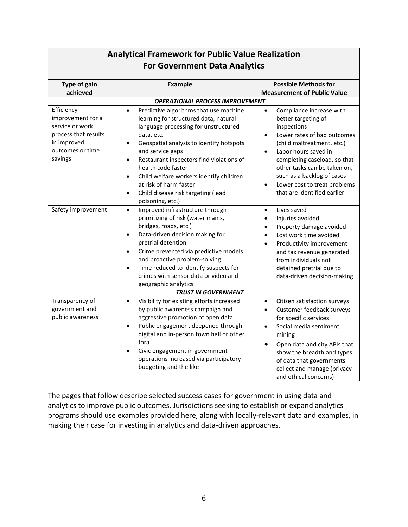| For Government Data Analytics                                                                                            |                                                                                                                                                                                                                                                                                                                                                                                                                                                                         |                                                                                                                                                                                                                                                                                                                                                                      |  |  |
|--------------------------------------------------------------------------------------------------------------------------|-------------------------------------------------------------------------------------------------------------------------------------------------------------------------------------------------------------------------------------------------------------------------------------------------------------------------------------------------------------------------------------------------------------------------------------------------------------------------|----------------------------------------------------------------------------------------------------------------------------------------------------------------------------------------------------------------------------------------------------------------------------------------------------------------------------------------------------------------------|--|--|
| <b>Type of gain</b>                                                                                                      | <b>Example</b>                                                                                                                                                                                                                                                                                                                                                                                                                                                          | <b>Possible Methods for</b>                                                                                                                                                                                                                                                                                                                                          |  |  |
| achieved                                                                                                                 |                                                                                                                                                                                                                                                                                                                                                                                                                                                                         | <b>Measurement of Public Value</b>                                                                                                                                                                                                                                                                                                                                   |  |  |
| <b>OPERATIONAL PROCESS IMPROVEMENT</b>                                                                                   |                                                                                                                                                                                                                                                                                                                                                                                                                                                                         |                                                                                                                                                                                                                                                                                                                                                                      |  |  |
| Efficiency<br>improvement for a<br>service or work<br>process that results<br>in improved<br>outcomes or time<br>savings | Predictive algorithms that use machine<br>$\bullet$<br>learning for structured data, natural<br>language processing for unstructured<br>data, etc.<br>Geospatial analysis to identify hotspots<br>$\bullet$<br>and service gaps<br>Restaurant inspectors find violations of<br>$\bullet$<br>health code faster<br>Child welfare workers identify children<br>$\bullet$<br>at risk of harm faster<br>Child disease risk targeting (lead<br>$\bullet$<br>poisoning, etc.) | Compliance increase with<br>$\bullet$<br>better targeting of<br>inspections<br>Lower rates of bad outcomes<br>$\bullet$<br>(child maltreatment, etc.)<br>Labor hours saved in<br>$\bullet$<br>completing caseload, so that<br>other tasks can be taken on,<br>such as a backlog of cases<br>Lower cost to treat problems<br>$\bullet$<br>that are identified earlier |  |  |
| Safety improvement                                                                                                       | Improved infrastructure through<br>$\bullet$<br>prioritizing of risk (water mains,<br>bridges, roads, etc.)<br>Data-driven decision making for<br>$\bullet$<br>pretrial detention<br>Crime prevented via predictive models<br>$\bullet$<br>and proactive problem-solving<br>Time reduced to identify suspects for<br>$\bullet$<br>crimes with sensor data or video and<br>geographic analytics                                                                          | Lives saved<br>$\bullet$<br>Injuries avoided<br>Property damage avoided<br>$\bullet$<br>Lost work time avoided<br>Productivity improvement<br>$\bullet$<br>and tax revenue generated<br>from individuals not<br>detained pretrial due to<br>data-driven decision-making                                                                                              |  |  |
|                                                                                                                          | <b>TRUST IN GOVERNMENT</b>                                                                                                                                                                                                                                                                                                                                                                                                                                              |                                                                                                                                                                                                                                                                                                                                                                      |  |  |
| Transparency of<br>government and<br>public awareness                                                                    | Visibility for existing efforts increased<br>$\bullet$<br>by public awareness campaign and<br>aggressive promotion of open data<br>Public engagement deepened through<br>$\bullet$<br>digital and in-person town hall or other<br>fora<br>Civic engagement in government<br>$\bullet$<br>operations increased via participatory<br>budgeting and the like                                                                                                               | Citizen satisfaction surveys<br>$\bullet$<br>Customer feedback surveys<br>$\bullet$<br>for specific services<br>Social media sentiment<br>$\bullet$<br>mining<br>Open data and city APIs that<br>$\bullet$<br>show the breadth and types<br>of data that governments<br>collect and manage (privacy<br>and ethical concerns)                                         |  |  |

# **Analytical Framework for Public Value Realization For Government Data Analytics**

The pages that follow describe selected success cases for government in using data and analytics to improve public outcomes. Jurisdictions seeking to establish or expand analytics programs should use examples provided here, along with locally-relevant data and examples, in making their case for investing in analytics and data-driven approaches.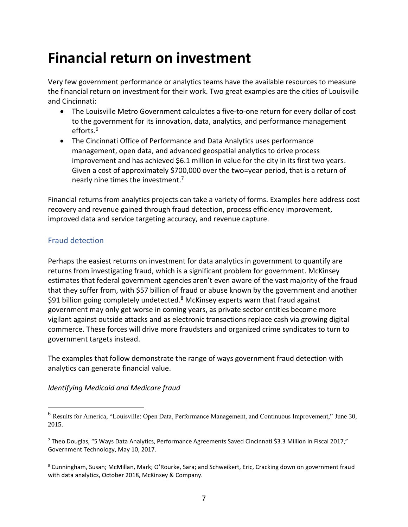# <span id="page-7-0"></span>**Financial return on investment**

Very few government performance or analytics teams have the available resources to measure the financial return on investment for their work. Two great examples are the cities of Louisville and Cincinnati:

- The Louisville Metro Government calculates a five-to-one return for every dollar of cost to the government for its innovation, data, analytics, and performance management efforts. 6
- The Cincinnati Office of Performance and Data Analytics uses performance management, open data, and advanced geospatial analytics to drive process improvement and has achieved \$6.1 million in value for the city in its first two years. Given a cost of approximately \$700,000 over the two=year period, that is a return of nearly nine times the investment.<sup>7</sup>

Financial returns from analytics projects can take a variety of forms. Examples here address cost recovery and revenue gained through fraud detection, process efficiency improvement, improved data and service targeting accuracy, and revenue capture.

# <span id="page-7-1"></span>Fraud detection

 $\overline{a}$ 

Perhaps the easiest returns on investment for data analytics in government to quantify are returns from investigating fraud, which is a significant problem for government. McKinsey estimates that federal government agencies aren't even aware of the vast majority of the fraud that they suffer from, with \$57 billion of fraud or abuse known by the government and another \$91 billion going completely undetected.<sup>8</sup> McKinsey experts warn that fraud against government may only get worse in coming years, as private sector entities become more vigilant against outside attacks and as electronic transactions replace cash via growing digital commerce. These forces will drive more fraudsters and organized crime syndicates to turn to government targets instead.

The examples that follow demonstrate the range of ways government fraud detection with analytics can generate financial value.

*Identifying Medicaid and Medicare fraud* 

<sup>6</sup> Results for America, "Louisville: Open Data, Performance Management, and Continuous Improvement," June 30, 2015.

<sup>7</sup> Theo Douglas, "5 Ways Data Analytics, Performance Agreements Saved Cincinnati \$3.3 Million in Fiscal 2017," Government Technology, May 10, 2017.

<sup>8</sup> Cunningham, Susan; McMillan, Mark; O'Rourke, Sara; and Schweikert, Eric, Cracking down on government fraud with data analytics, October 2018, McKinsey & Company.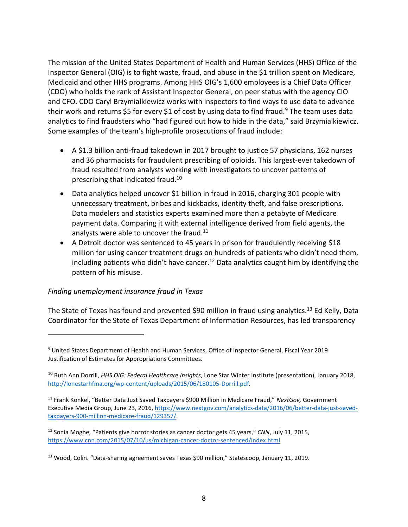The mission of the United States Department of Health and Human Services (HHS) Office of the Inspector General (OIG) is to fight waste, fraud, and abuse in the \$1 trillion spent on Medicare, Medicaid and other HHS programs. Among HHS OIG's 1,600 employees is a Chief Data Officer (CDO) who holds the rank of Assistant Inspector General, on peer status with the agency CIO and CFO. CDO Caryl Brzymialkiewicz works with inspectors to find ways to use data to advance their work and returns \$5 for every \$1 of cost by using data to find fraud.<sup>9</sup> The team uses data analytics to find fraudsters who "had figured out how to hide in the data," said Brzymialkiewicz. Some examples of the team's high-profile prosecutions of fraud include:

- A \$1.3 billion anti-fraud takedown in 2017 brought to justice 57 physicians, 162 nurses and 36 pharmacists for fraudulent prescribing of opioids. This largest-ever takedown of fraud resulted from analysts working with investigators to uncover patterns of prescribing that indicated fraud.<sup>10</sup>
- Data analytics helped uncover \$1 billion in fraud in 2016, charging 301 people with unnecessary treatment, bribes and kickbacks, identity theft, and false prescriptions. Data modelers and statistics experts examined more than a petabyte of Medicare payment data. Comparing it with external intelligence derived from field agents, the analysts were able to uncover the fraud. $11$
- A Detroit doctor was sentenced to 45 years in prison for fraudulently receiving \$18 million for using cancer treatment drugs on hundreds of patients who didn't need them, including patients who didn't have cancer.<sup>12</sup> Data analytics caught him by identifying the pattern of his misuse.

### *Finding unemployment insurance fraud in Texas*

 $\overline{a}$ 

The State of Texas has found and prevented \$90 million in fraud using analytics.<sup>13</sup> Ed Kelly, Data Coordinator for the State of Texas Department of Information Resources, has led transparency

<sup>9</sup> United States Department of Health and Human Services, Office of Inspector General, Fiscal Year 2019 Justification of Estimates for Appropriations Committees.

<sup>10</sup> Ruth Ann Dorrill, *HHS OIG: Federal Healthcare Insights*, Lone Star Winter Institute (presentation), January 2018, [http://lonestarhfma.org/wp-content/uploads/2015/06/180105-Dorrill.pdf.](http://lonestarhfma.org/wp-content/uploads/2015/06/180105-Dorrill.pdf)

<sup>11</sup> Frank Konkel, "Better Data Just Saved Taxpayers \$900 Million in Medicare Fraud," *NextGov,* Government Executive Media Group, June 23, 2016[, https://www.nextgov.com/analytics-data/2016/06/better-data-just-saved](https://www.nextgov.com/analytics-data/2016/06/better-data-just-saved-taxpayers-900-million-medicare-fraud/129357/)[taxpayers-900-million-medicare-fraud/129357/.](https://www.nextgov.com/analytics-data/2016/06/better-data-just-saved-taxpayers-900-million-medicare-fraud/129357/)

<sup>12</sup> Sonia Moghe, "Patients give horror stories as cancer doctor gets 45 years," *CNN*, July 11, 2015, [https://www.cnn.com/2015/07/10/us/michigan-cancer-doctor-sentenced/index.html.](https://www.cnn.com/2015/07/10/us/michigan-cancer-doctor-sentenced/index.html)

**<sup>13</sup>** Wood, Colin. "Data-sharing agreement saves Texas \$90 million," Statescoop, January 11, 2019.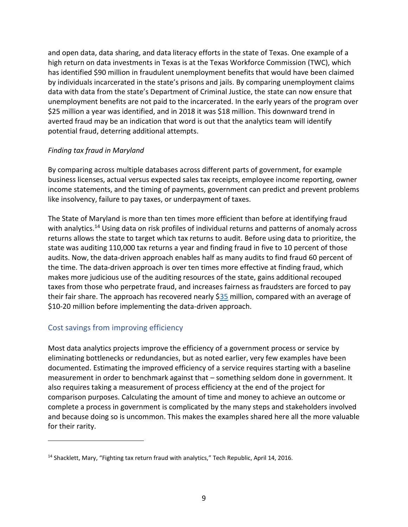and open data, data sharing, and data literacy efforts in the state of Texas. One example of a high return on data investments in Texas is at the Texas Workforce Commission (TWC), which has identified \$90 million in fraudulent unemployment benefits that would have been claimed by individuals incarcerated in the state's prisons and jails. By comparing unemployment claims data with data from the state's Department of Criminal Justice, the state can now ensure that unemployment benefits are not paid to the incarcerated. In the early years of the program over \$25 million a year was identified, and in 2018 it was \$18 million. This downward trend in averted fraud may be an indication that word is out that the analytics team will identify potential fraud, deterring additional attempts.

### *Finding tax fraud in Maryland*

By comparing across multiple databases across different parts of government, for example business licenses, actual versus expected sales tax receipts, employee income reporting, owner income statements, and the timing of payments, government can predict and prevent problems like insolvency, failure to pay taxes, or underpayment of taxes.

The State of Maryland is more than ten times more efficient than before at identifying fraud with analytics.<sup>14</sup> Using data on risk profiles of individual returns and patterns of anomaly across returns allows the state to target which tax returns to audit. Before using data to prioritize, the state was auditing 110,000 tax returns a year and finding fraud in five to 10 percent of those audits. Now, the data-driven approach enables half as many audits to find fraud 60 percent of the time. The data-driven approach is over ten times more effective at finding fraud, which makes more judicious use of the auditing resources of the state, gains additional recouped taxes from those who perpetrate fraud, and increases fairness as fraudsters are forced to pay their fair share. The approach has recovered nearly \$35 million, compared with an average of \$10-20 million before implementing the data-driven approach.

# <span id="page-9-0"></span>Cost savings from improving efficiency

 $\overline{a}$ 

Most data analytics projects improve the efficiency of a government process or service by eliminating bottlenecks or redundancies, but as noted earlier, very few examples have been documented. Estimating the improved efficiency of a service requires starting with a baseline measurement in order to benchmark against that – something seldom done in government. It also requires taking a measurement of process efficiency at the end of the project for comparison purposes. Calculating the amount of time and money to achieve an outcome or complete a process in government is complicated by the many steps and stakeholders involved and because doing so is uncommon. This makes the examples shared here all the more valuable for their rarity.

<sup>&</sup>lt;sup>14</sup> Shacklett, Mary, "Fighting tax return fraud with analytics," Tech Republic, April 14, 2016.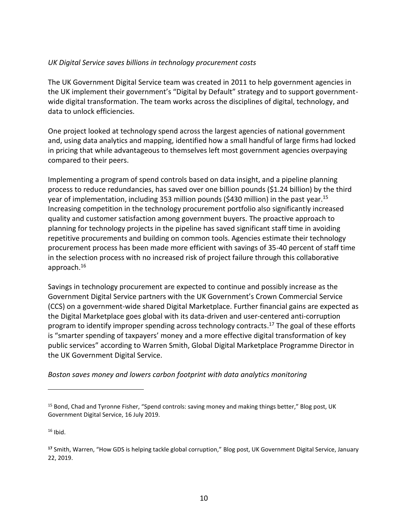#### *UK Digital Service saves billions in technology procurement costs*

The UK Government Digital Service team was created in 2011 to help government agencies in the UK implement their government's "Digital by Default" strategy and to support governmentwide digital transformation. The team works across the disciplines of digital, technology, and data to unlock efficiencies.

One project looked at technology spend across the largest agencies of national government and, using data analytics and mapping, identified how a small handful of large firms had locked in pricing that while advantageous to themselves left most government agencies overpaying compared to their peers.

Implementing a program of spend controls based on data insight, and a pipeline planning process to reduce redundancies, has saved over one billion pounds (\$1.24 billion) by the third year of implementation, including 353 million pounds (\$430 million) in the past year.<sup>15</sup> Increasing competition in the technology procurement portfolio also significantly increased quality and customer satisfaction among government buyers. The proactive approach to planning for technology projects in the pipeline has saved significant staff time in avoiding repetitive procurements and building on common tools. Agencies estimate their technology procurement process has been made more efficient with savings of 35-40 percent of staff time in the selection process with no increased risk of project failure through this collaborative approach. 16

Savings in technology procurement are expected to continue and possibly increase as the Government Digital Service partners with the UK Government's Crown Commercial Service (CCS) on a government-wide shared Digital Marketplace. Further financial gains are expected as the Digital Marketplace goes global with its data-driven and user-centered anti-corruption program to identify improper spending across technology contracts. <sup>17</sup> The goal of these efforts is "smarter spending of taxpayers' money and a more effective digital transformation of key public services" according to Warren Smith, Global Digital Marketplace Programme Director in the UK Government Digital Service.

*Boston saves money and lowers carbon footprint with data analytics monitoring* 

 $16$  Ibid.

<sup>&</sup>lt;sup>15</sup> Bond, Chad and Tyronne Fisher, "Spend controls: saving money and making things better," Blog post, UK Government Digital Service, 16 July 2019.

**<sup>17</sup>** Smith, Warren, "How GDS is helping tackle global corruption," Blog post, UK Government Digital Service, January 22, 2019.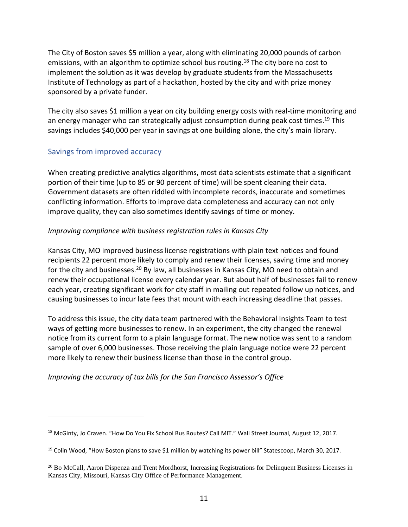The City of Boston saves \$5 million a year, along with eliminating 20,000 pounds of carbon emissions, with an algorithm to optimize school bus routing.<sup>18</sup> The city bore no cost to implement the solution as it was develop by graduate students from the Massachusetts Institute of Technology as part of a hackathon, hosted by the city and with prize money sponsored by a private funder.

The city also saves \$1 million a year on city building energy costs with real-time monitoring and an energy manager who can strategically adjust consumption during peak cost times. <sup>19</sup> This savings includes \$40,000 per year in savings at one building alone, the city's main library.

# <span id="page-11-0"></span>Savings from improved accuracy

 $\overline{a}$ 

When creating predictive analytics algorithms, most data scientists estimate that a significant portion of their time (up to 85 or 90 percent of time) will be spent cleaning their data. Government datasets are often riddled with incomplete records, inaccurate and sometimes conflicting information. Efforts to improve data completeness and accuracy can not only improve quality, they can also sometimes identify savings of time or money.

### *Improving compliance with business registration rules in Kansas City*

Kansas City, MO improved business license registrations with plain text notices and found recipients 22 percent more likely to comply and renew their licenses, saving time and money for the city and businesses.<sup>20</sup> By law, all businesses in Kansas City, MO need to obtain and renew their occupational license every calendar year. But about half of businesses fail to renew each year, creating significant work for city staff in mailing out repeated follow up notices, and causing businesses to incur late fees that mount with each increasing deadline that passes.

To address this issue, the city data team partnered with the Behavioral Insights Team to test ways of getting more businesses to renew. In an experiment, the city changed the renewal notice from its current form to a plain language format. The new notice was sent to a random sample of over 6,000 businesses. Those receiving the plain language notice were 22 percent more likely to renew their business license than those in the control group.

*Improving the accuracy of tax bills for the San Francisco Assessor's Office* 

<sup>&</sup>lt;sup>18</sup> McGinty, Jo Craven. "How Do You Fix School Bus Routes? Call MIT." Wall Street Journal, August 12, 2017.

<sup>&</sup>lt;sup>19</sup> Colin Wood, "How Boston plans to save \$1 million by watching its power bill" Statescoop, March 30, 2017.

<sup>&</sup>lt;sup>20</sup> Bo McCall, Aaron Dispenza and Trent Mordhorst, Increasing Registrations for Delinquent Business Licenses in Kansas City, Missouri, Kansas City Office of Performance Management.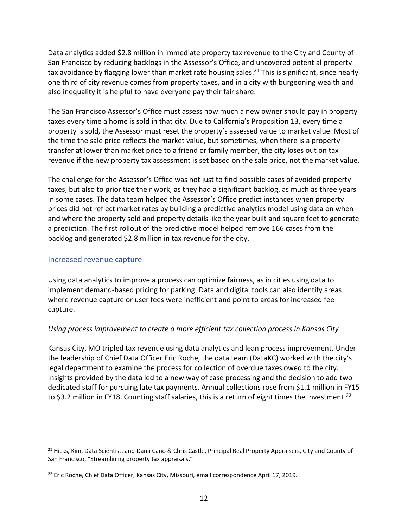Data analytics added \$2.8 million in immediate property tax revenue to the City and County of San Francisco by reducing backlogs in the Assessor's Office, and uncovered potential property tax avoidance by flagging lower than market rate housing sales.<sup>21</sup> This is significant, since nearly one third of city revenue comes from property taxes, and in a city with burgeoning wealth and also inequality it is helpful to have everyone pay their fair share.

The San Francisco Assessor's Office must assess how much a new owner should pay in property taxes every time a home is sold in that city. Due to California's Proposition 13, every time a property is sold, the Assessor must reset the property's assessed value to market value. Most of the time the sale price reflects the market value, but sometimes, when there is a property transfer at lower than market price to a friend or family member, the city loses out on tax revenue if the new property tax assessment is set based on the sale price, not the market value.

The challenge for the Assessor's Office was not just to find possible cases of avoided property taxes, but also to prioritize their work, as they had a significant backlog, as much as three years in some cases. The data team helped the Assessor's Office predict instances when property prices did not reflect market rates by building a predictive analytics model using data on when and where the property sold and property details like the year built and square feet to generate a prediction. The first rollout of the predictive model helped remove 166 cases from the backlog and generated \$2.8 million in tax revenue for the city.

### <span id="page-12-0"></span>Increased revenue capture

 $\overline{a}$ 

Using data analytics to improve a process can optimize fairness, as in cities using data to implement demand-based pricing for parking. Data and digital tools can also identify areas where revenue capture or user fees were inefficient and point to areas for increased fee capture.

### *Using process improvement to create a more efficient tax collection process in Kansas City*

Kansas City, MO tripled tax revenue using data analytics and lean process improvement. Under the leadership of Chief Data Officer Eric Roche, the data team (DataKC) worked with the city's legal department to examine the process for collection of overdue taxes owed to the city. Insights provided by the data led to a new way of case processing and the decision to add two dedicated staff for pursuing late tax payments. Annual collections rose from \$1.1 million in FY15 to \$3.2 million in FY18. Counting staff salaries, this is a return of eight times the investment.<sup>22</sup>

<sup>&</sup>lt;sup>21</sup> Hicks, Kim, Data Scientist, and Dana Cano & Chris Castle, Principal Real Property Appraisers, City and County of San Francisco, "Streamlining property tax appraisals."

<sup>&</sup>lt;sup>22</sup> Eric Roche, Chief Data Officer, Kansas City, Missouri, email correspondence April 17, 2019.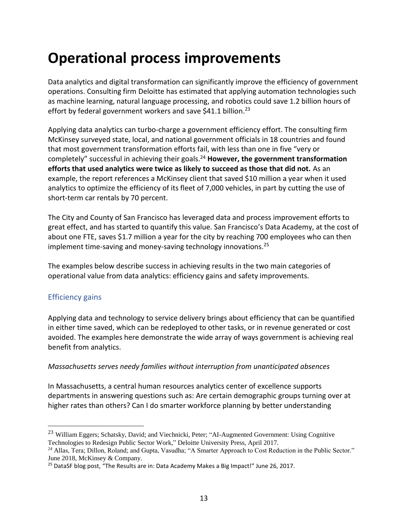# <span id="page-13-0"></span>**Operational process improvements**

Data analytics and digital transformation can significantly improve the efficiency of government operations. Consulting firm Deloitte has estimated that applying automation technologies such as machine learning, natural language processing, and robotics could save 1.2 billion hours of effort by federal government workers and save \$41.1 billion.<sup>23</sup>

Applying data analytics can turbo-charge a government efficiency effort. The consulting firm McKinsey surveyed state, local, and national government officials in 18 countries and found that most government transformation efforts fail, with less than one in five "very or completely" successful in achieving their goals. <sup>24</sup> **However, the government transformation efforts that used analytics were twice as likely to succeed as those that did not.** As an example, the report references a McKinsey client that saved \$10 million a year when it used analytics to optimize the efficiency of its fleet of 7,000 vehicles, in part by cutting the use of short-term car rentals by 70 percent.

The City and County of San Francisco has leveraged data and process improvement efforts to great effect, and has started to quantify this value. San Francisco's Data Academy, at the cost of about one FTE, saves \$1.7 million a year for the city by reaching 700 employees who can then implement time-saving and money-saving technology innovations. 25

The examples below describe success in achieving results in the two main categories of operational value from data analytics: efficiency gains and safety improvements.

### <span id="page-13-1"></span>Efficiency gains

 $\overline{a}$ 

Applying data and technology to service delivery brings about efficiency that can be quantified in either time saved, which can be redeployed to other tasks, or in revenue generated or cost avoided. The examples here demonstrate the wide array of ways government is achieving real benefit from analytics.

### *Massachusetts serves needy families without interruption from unanticipated absences*

In Massachusetts, a central human resources analytics center of excellence supports departments in answering questions such as: Are certain demographic groups turning over at higher rates than others? Can I do smarter workforce planning by better understanding

<sup>&</sup>lt;sup>23</sup> William Eggers; Schatsky, David; and Viechnicki, Peter; "AI-Augmented Government: Using Cognitive Technologies to Redesign Public Sector Work," Deloitte University Press, April 2017.

<sup>&</sup>lt;sup>24</sup> Allas, Tera; Dillon, Roland; and Gupta, Vasudha; "A Smarter Approach to Cost Reduction in the Public Sector." June 2018, McKinsey & Company.

<sup>&</sup>lt;sup>25</sup> DataSF blog post, "The Results are in: Data Academy Makes a Big Impact!" June 26, 2017.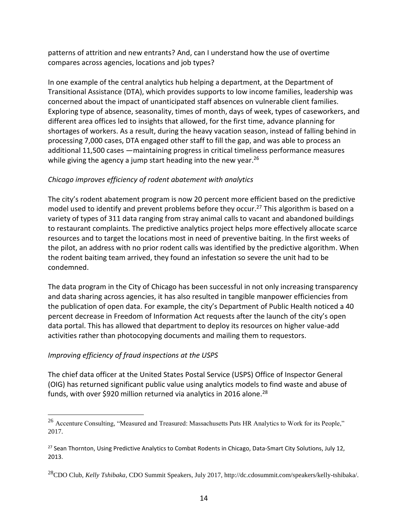patterns of attrition and new entrants? And, can I understand how the use of overtime compares across agencies, locations and job types?

In one example of the central analytics hub helping a department, at the Department of Transitional Assistance (DTA), which provides supports to low income families, leadership was concerned about the impact of unanticipated staff absences on vulnerable client families. Exploring type of absence, seasonality, times of month, days of week, types of caseworkers, and different area offices led to insights that allowed, for the first time, advance planning for shortages of workers. As a result, during the heavy vacation season, instead of falling behind in processing 7,000 cases, DTA engaged other staff to fill the gap, and was able to process an additional 11,500 cases —maintaining progress in critical timeliness performance measures while giving the agency a jump start heading into the new year.<sup>26</sup>

### *Chicago improves efficiency of rodent abatement with analytics*

The city's rodent abatement program is now 20 percent more efficient based on the predictive model used to identify and prevent problems before they occur. <sup>27</sup> This algorithm is based on a variety of types of 311 data ranging from stray animal calls to vacant and abandoned buildings to restaurant complaints. The predictive analytics project helps more effectively allocate scarce resources and to target the locations most in need of preventive baiting. In the first weeks of the pilot, an address with no prior rodent calls was identified by the predictive algorithm. When the rodent baiting team arrived, they found an infestation so severe the unit had to be condemned.

The data program in the City of Chicago has been successful in not only increasing transparency and data sharing across agencies, it has also resulted in tangible manpower efficiencies from the publication of open data. For example, the city's Department of Public Health noticed a 40 percent decrease in Freedom of Information Act requests after the launch of the city's open data portal. This has allowed that department to deploy its resources on higher value-add activities rather than photocopying documents and mailing them to requestors.

# *Improving efficiency of fraud inspections at the USPS*

 $\overline{a}$ 

The chief data officer at the United States Postal Service (USPS) Office of Inspector General (OIG) has returned significant public value using analytics models to find waste and abuse of funds, with over \$920 million returned via analytics in 2016 alone.<sup>28</sup>

<sup>&</sup>lt;sup>26</sup> Accenture Consulting, "Measured and Treasured: Massachusetts Puts HR Analytics to Work for its People," 2017.

<sup>&</sup>lt;sup>27</sup> Sean Thornton, Using Predictive Analytics to Combat Rodents in Chicago, Data-Smart City Solutions, July 12, 2013.

<sup>28</sup>CDO Club, *Kelly Tshibaka,* CDO Summit Speakers, July 2017, http://dc.cdosummit.com/speakers/kelly-tshibaka/.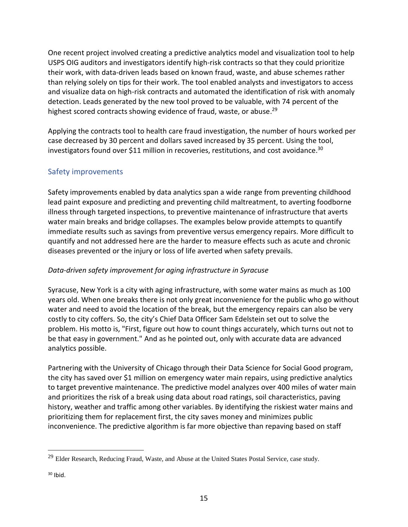One recent project involved creating a predictive analytics model and visualization tool to help USPS OIG auditors and investigators identify high-risk contracts so that they could prioritize their work, with data-driven leads based on known fraud, waste, and abuse schemes rather than relying solely on tips for their work. The tool enabled analysts and investigators to access and visualize data on high-risk contracts and automated the identification of risk with anomaly detection. Leads generated by the new tool proved to be valuable, with 74 percent of the highest scored contracts showing evidence of fraud, waste, or abuse.<sup>29</sup>

Applying the contracts tool to health care fraud investigation, the number of hours worked per case decreased by 30 percent and dollars saved increased by 35 percent. Using the tool, investigators found over \$11 million in recoveries, restitutions, and cost avoidance.<sup>30</sup>

# <span id="page-15-0"></span>Safety improvements

Safety improvements enabled by data analytics span a wide range from preventing childhood lead paint exposure and predicting and preventing child maltreatment, to averting foodborne illness through targeted inspections, to preventive maintenance of infrastructure that averts water main breaks and bridge collapses. The examples below provide attempts to quantify immediate results such as savings from preventive versus emergency repairs. More difficult to quantify and not addressed here are the harder to measure effects such as acute and chronic diseases prevented or the injury or loss of life averted when safety prevails.

# *Data-driven safety improvement for aging infrastructure in Syracuse*

Syracuse, New York is a city with aging infrastructure, with some water mains as much as 100 years old. When one breaks there is not only great inconvenience for the public who go without water and need to avoid the location of the break, but the emergency repairs can also be very costly to city coffers. So, the city's Chief Data Officer Sam Edelstein set out to solve the problem. His motto is, "First, figure out how to count things accurately, which turns out not to be that easy in government." And as he pointed out, only with accurate data are advanced analytics possible.

Partnering with the University of Chicago through their Data Science for Social Good program, the city has saved over \$1 million on emergency water main repairs, using predictive analytics to target preventive maintenance. The predictive model analyzes over 400 miles of water main and prioritizes the risk of a break using data about road ratings, soil characteristics, paving history, weather and traffic among other variables. By identifying the riskiest water mains and prioritizing them for replacement first, the city saves money and minimizes public inconvenience. The predictive algorithm is far more objective than repaving based on staff

<sup>&</sup>lt;sup>29</sup> Elder Research, Reducing Fraud, Waste, and Abuse at the United States Postal Service, case study.

 $30$  Ibid.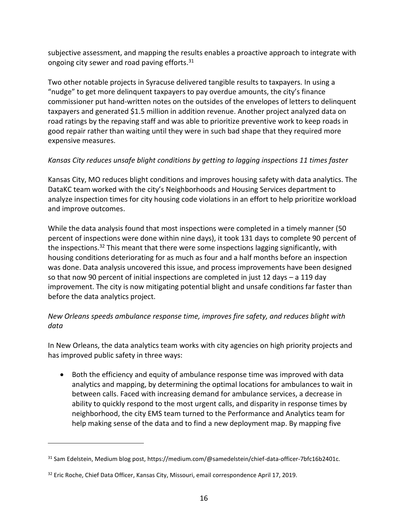subjective assessment, and mapping the results enables a proactive approach to integrate with ongoing city sewer and road paving efforts.<sup>31</sup>

Two other notable projects in Syracuse delivered tangible results to taxpayers. In using a "nudge" to get more delinquent taxpayers to pay overdue amounts, the city's finance commissioner put hand-written notes on the outsides of the envelopes of letters to delinquent taxpayers and generated \$1.5 million in addition revenue. Another project analyzed data on road ratings by the repaving staff and was able to prioritize preventive work to keep roads in good repair rather than waiting until they were in such bad shape that they required more expensive measures.

# *Kansas City reduces unsafe blight conditions by getting to lagging inspections 11 times faster*

Kansas City, MO reduces blight conditions and improves housing safety with data analytics. The DataKC team worked with the city's Neighborhoods and Housing Services department to analyze inspection times for city housing code violations in an effort to help prioritize workload and improve outcomes.

While the data analysis found that most inspections were completed in a timely manner (50 percent of inspections were done within nine days), it took 131 days to complete 90 percent of the inspections.<sup>32</sup> This meant that there were some inspections lagging significantly, with housing conditions deteriorating for as much as four and a half months before an inspection was done. Data analysis uncovered this issue, and process improvements have been designed so that now 90 percent of initial inspections are completed in just 12 days – a 119 day improvement. The city is now mitigating potential blight and unsafe conditions far faster than before the data analytics project.

# *New Orleans speeds ambulance response time, improves fire safety, and reduces blight with data*

In New Orleans, the data analytics team works with city agencies on high priority projects and has improved public safety in three ways:

• Both the efficiency and equity of ambulance response time was improved with data analytics and mapping, by determining the optimal locations for ambulances to wait in between calls. Faced with increasing demand for ambulance services, a decrease in ability to quickly respond to the most urgent calls, and disparity in response times by neighborhood, the city EMS team turned to the Performance and Analytics team for help making sense of the data and to find a new deployment map. By mapping five

<sup>31</sup> Sam Edelstein, Medium blog post, https://medium.com/@samedelstein/chief-data-officer-7bfc16b2401c.

<sup>&</sup>lt;sup>32</sup> Eric Roche, Chief Data Officer, Kansas City, Missouri, email correspondence April 17, 2019.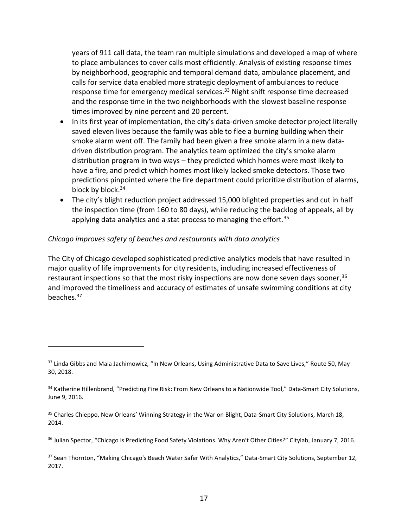years of 911 call data, the team ran multiple simulations and developed a map of where to place ambulances to cover calls most efficiently. Analysis of existing response times by neighborhood, geographic and temporal demand data, ambulance placement, and calls for service data enabled more strategic deployment of ambulances to reduce response time for emergency medical services.<sup>33</sup> Night shift response time decreased and the response time in the two neighborhoods with the slowest baseline response times improved by nine percent and 20 percent.

- In its first year of implementation, the city's data-driven smoke detector project literally saved eleven lives because the family was able to flee a burning building when their smoke alarm went off. The family had been given a free smoke alarm in a new datadriven distribution program. The analytics team optimized the city's smoke alarm distribution program in two ways – they predicted which homes were most likely to have a fire, and predict which homes most likely lacked smoke detectors. Those two predictions pinpointed where the fire department could prioritize distribution of alarms, block by block. 34
- The city's blight reduction project addressed 15,000 blighted properties and cut in half the inspection time (from 160 to 80 days), while reducing the backlog of appeals, all by applying data analytics and a stat process to managing the effort.<sup>35</sup>

#### *Chicago improves safety of beaches and restaurants with data analytics*

 $\overline{a}$ 

The City of Chicago developed sophisticated predictive analytics models that have resulted in major quality of life improvements for city residents, including increased effectiveness of restaurant inspections so that the most risky inspections are now done seven days sooner,<sup>36</sup> and improved the timeliness and accuracy of estimates of unsafe swimming conditions at city beaches. 37

<sup>&</sup>lt;sup>33</sup> Linda Gibbs and Maia Jachimowicz, "In New Orleans, Using Administrative Data to Save Lives," Route 50, May 30, 2018.

<sup>&</sup>lt;sup>34</sup> Katherine Hillenbrand, "Predicting Fire Risk: From New Orleans to a Nationwide Tool," Data-Smart City Solutions, June 9, 2016.

<sup>&</sup>lt;sup>35</sup> Charles Chieppo, New Orleans' Winning Strategy in the War on Blight, Data-Smart City Solutions, March 18, 2014.

<sup>&</sup>lt;sup>36</sup> Julian Spector, "Chicago Is Predicting Food Safety Violations. Why Aren't Other Cities?" Citylab, January 7, 2016.

<sup>&</sup>lt;sup>37</sup> Sean Thornton, "Making Chicago's Beach Water Safer With Analytics," Data-Smart City Solutions, September 12, 2017.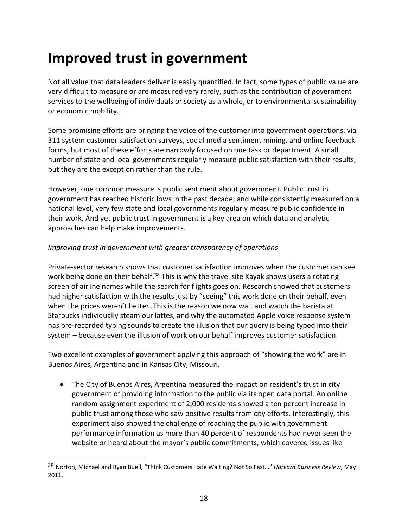# <span id="page-18-0"></span>**Improved trust in government**

Not all value that data leaders deliver is easily quantified. In fact, some types of public value are very difficult to measure or are measured very rarely, such as the contribution of government services to the wellbeing of individuals or society as a whole, or to environmental sustainability or economic mobility.

Some promising efforts are bringing the voice of the customer into government operations, via 311 system customer satisfaction surveys, social media sentiment mining, and online feedback forms, but most of these efforts are narrowly focused on one task or department. A small number of state and local governments regularly measure public satisfaction with their results, but they are the exception rather than the rule.

However, one common measure is public sentiment about government. Public trust in government has reached historic lows in the past decade, and while consistently measured on a national level, very few state and local governments regularly measure public confidence in their work. And yet public trust in government is a key area on which data and analytic approaches can help make improvements.

### *Improving trust in government with greater transparency of operations*

 $\overline{a}$ 

Private-sector research shows that customer satisfaction improves when the customer can see work being done on their behalf.<sup>38</sup> This is why the travel site Kayak shows users a rotating screen of airline names while the search for flights goes on. Research showed that customers had higher satisfaction with the results just by "seeing" this work done on their behalf, even when the prices weren't better. This is the reason we now wait and watch the barista at Starbucks individually steam our lattes, and why the automated Apple voice response system has pre-recorded typing sounds to create the illusion that our query is being typed into their system – because even the illusion of work on our behalf improves customer satisfaction.

Two excellent examples of government applying this approach of "showing the work" are in Buenos Aires, Argentina and in Kansas City, Missouri.

• The City of Buenos Aires, Argentina measured the impact on resident's trust in city government of providing information to the public via its open data portal. An online random assignment experiment of 2,000 residents showed a ten percent increase in public trust among those who saw positive results from city efforts. Interestingly, this experiment also showed the challenge of reaching the public with government performance information as more than 40 percent of respondents had never seen the website or heard about the mayor's public commitments, which covered issues like

<sup>38</sup> Norton, Michael and Ryan Buell, "Think Customers Hate Waiting? Not So Fast…" *Harvard Business Review*, May 2011.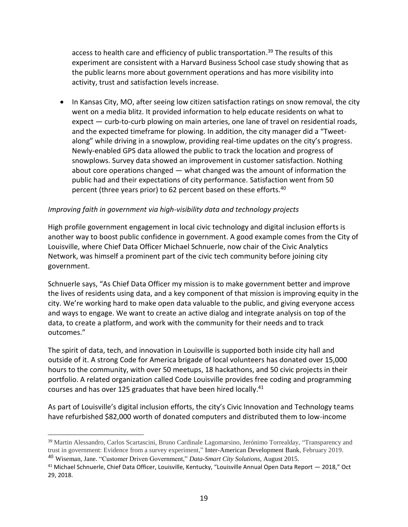access to health care and efficiency of public transportation. <sup>39</sup> The results of this experiment are consistent with a Harvard Business School case study showing that as the public learns more about government operations and has more visibility into activity, trust and satisfaction levels increase.

• In Kansas City, MO, after seeing low citizen satisfaction ratings on snow removal, the city went on a media blitz. It provided information to help educate residents on what to expect — curb-to-curb plowing on main arteries, one lane of travel on residential roads, and the expected timeframe for plowing. In addition, the city manager did a "Tweetalong" while driving in a snowplow, providing real-time updates on the city's progress. Newly-enabled GPS data allowed the public to track the location and progress of snowplows. Survey data showed an improvement in customer satisfaction. Nothing about core operations changed — what changed was the amount of information the public had and their expectations of city performance. Satisfaction went from 50 percent (three years prior) to 62 percent based on these efforts.<sup>40</sup>

### *Improving faith in government via high-visibility data and technology projects*

High profile government engagement in local civic technology and digital inclusion efforts is another way to boost public confidence in government. A good example comes from the City of Louisville, where Chief Data Officer Michael Schnuerle, now chair of the Civic Analytics Network, was himself a prominent part of the civic tech community before joining city government.

Schnuerle says, "As Chief Data Officer my mission is to make government better and improve the lives of residents using data, and a key component of that mission is improving equity in the city. We're working hard to make open data valuable to the public, and giving everyone access and ways to engage. We want to create an active dialog and integrate analysis on top of the data, to create a platform, and work with the community for their needs and to track outcomes."

The spirit of data, tech, and innovation in Louisville is supported both inside city hall and outside of it. A strong Code for America brigade of local volunteers has donated over 15,000 hours to the community, with over 50 meetups, 18 hackathons, and 50 civic projects in their portfolio. A related organization called Code Louisville provides free coding and programming courses and has over 125 graduates that have been hired locally. 41

As part of Louisville's digital inclusion efforts, the city's Civic Innovation and Technology teams have refurbished \$82,000 worth of donated computers and distributed them to low-income

<sup>39</sup> Martin Alessandro, Carlos Scartascini, Bruno Cardinale Lagomarsino, Jerónimo Torrealday, "Transparency and trust in government: Evidence from a survey experiment," Inter-American Development Bank, February 2019.

<sup>40</sup> Wiseman, Jane. "Customer Driven Government," *Data-Smart City Solutions*, August 2015.

<sup>41</sup> Michael Schnuerle, Chief Data Officer, Louisville, Kentucky, "Louisville Annual Open Data Report — 2018," Oct 29, 2018.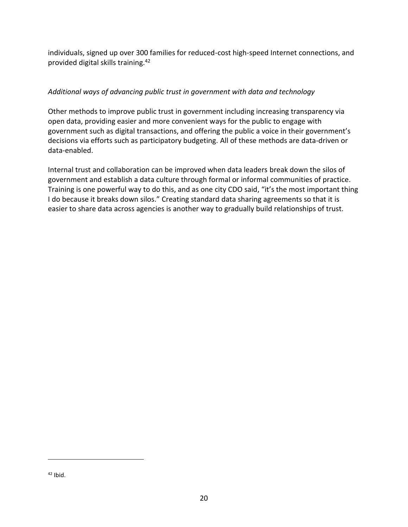individuals, signed up over 300 families for reduced-cost high-speed Internet connections, and provided digital skills training.<sup>42</sup>

# *Additional ways of advancing public trust in government with data and technology*

Other methods to improve public trust in government including increasing transparency via open data, providing easier and more convenient ways for the public to engage with government such as digital transactions, and offering the public a voice in their government's decisions via efforts such as participatory budgeting. All of these methods are data-driven or data-enabled.

Internal trust and collaboration can be improved when data leaders break down the silos of government and establish a data culture through formal or informal communities of practice. Training is one powerful way to do this, and as one city CDO said, "it's the most important thing I do because it breaks down silos." Creating standard data sharing agreements so that it is easier to share data across agencies is another way to gradually build relationships of trust.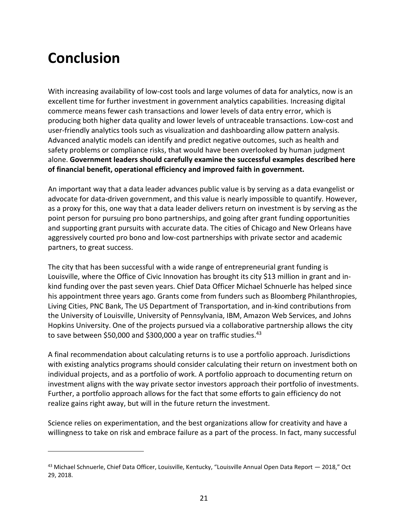# <span id="page-21-0"></span>**Conclusion**

 $\overline{a}$ 

With increasing availability of low-cost tools and large volumes of data for analytics, now is an excellent time for further investment in government analytics capabilities. Increasing digital commerce means fewer cash transactions and lower levels of data entry error, which is producing both higher data quality and lower levels of untraceable transactions. Low-cost and user-friendly analytics tools such as visualization and dashboarding allow pattern analysis. Advanced analytic models can identify and predict negative outcomes, such as health and safety problems or compliance risks, that would have been overlooked by human judgment alone. **Government leaders should carefully examine the successful examples described here of financial benefit, operational efficiency and improved faith in government.**

An important way that a data leader advances public value is by serving as a data evangelist or advocate for data-driven government, and this value is nearly impossible to quantify. However, as a proxy for this, one way that a data leader delivers return on investment is by serving as the point person for pursuing pro bono partnerships, and going after grant funding opportunities and supporting grant pursuits with accurate data. The cities of Chicago and New Orleans have aggressively courted pro bono and low-cost partnerships with private sector and academic partners, to great success.

The city that has been successful with a wide range of entrepreneurial grant funding is Louisville, where the Office of Civic Innovation has brought its city \$13 million in grant and inkind funding over the past seven years. Chief Data Officer Michael Schnuerle has helped since his appointment three years ago. Grants come from funders such as Bloomberg Philanthropies, Living Cities, PNC Bank, The US Department of Transportation, and in-kind contributions from the University of Louisville, University of Pennsylvania, IBM, Amazon Web Services, and Johns Hopkins University. One of the projects pursued via a collaborative partnership allows the city to save between \$50,000 and \$300,000 a year on traffic studies.<sup>43</sup>

A final recommendation about calculating returns is to use a portfolio approach. Jurisdictions with existing analytics programs should consider calculating their return on investment both on individual projects, and as a portfolio of work. A portfolio approach to documenting return on investment aligns with the way private sector investors approach their portfolio of investments. Further, a portfolio approach allows for the fact that some efforts to gain efficiency do not realize gains right away, but will in the future return the investment.

Science relies on experimentation, and the best organizations allow for creativity and have a willingness to take on risk and embrace failure as a part of the process. In fact, many successful

<sup>43</sup> Michael Schnuerle, Chief Data Officer, Louisville, Kentucky, "Louisville Annual Open Data Report - 2018," Oct 29, 2018.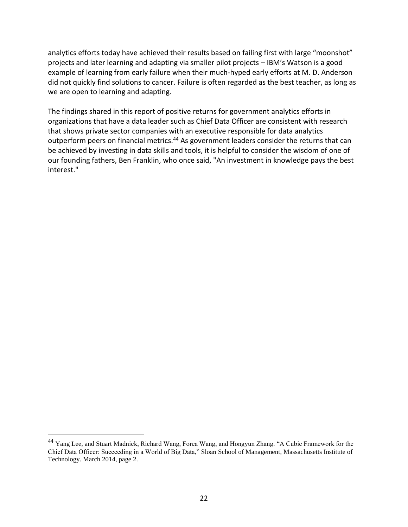analytics efforts today have achieved their results based on failing first with large "moonshot" projects and later learning and adapting via smaller pilot projects – IBM's Watson is a good example of learning from early failure when their much-hyped early efforts at M. D. Anderson did not quickly find solutions to cancer. Failure is often regarded as the best teacher, as long as we are open to learning and adapting.

The findings shared in this report of positive returns for government analytics efforts in organizations that have a data leader such as Chief Data Officer are consistent with research that shows private sector companies with an executive responsible for data analytics outperform peers on financial metrics.<sup>44</sup> As government leaders consider the returns that can be achieved by investing in data skills and tools, it is helpful to consider the wisdom of one of our founding fathers, Ben Franklin, who once said, "An investment in knowledge pays the best interest."

<sup>&</sup>lt;sup>44</sup> Yang Lee, and Stuart Madnick, Richard Wang, Forea Wang, and Hongyun Zhang. "A Cubic Framework for the Chief Data Officer: Succeeding in a World of Big Data," Sloan School of Management, Massachusetts Institute of Technology. March 2014, page 2.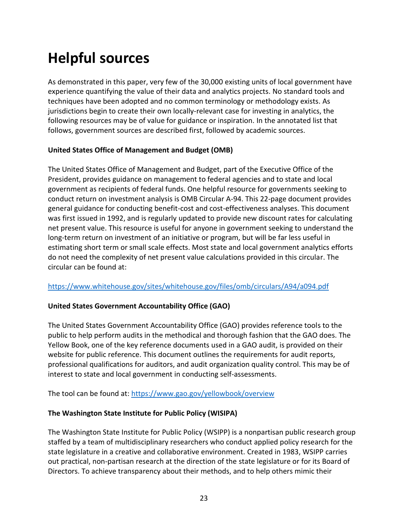# <span id="page-23-0"></span>**Helpful sources**

As demonstrated in this paper, very few of the 30,000 existing units of local government have experience quantifying the value of their data and analytics projects. No standard tools and techniques have been adopted and no common terminology or methodology exists. As jurisdictions begin to create their own locally-relevant case for investing in analytics, the following resources may be of value for guidance or inspiration. In the annotated list that follows, government sources are described first, followed by academic sources.

### **United States Office of Management and Budget (OMB)**

The United States Office of Management and Budget, part of the Executive Office of the President, provides guidance on management to federal agencies and to state and local government as recipients of federal funds. One helpful resource for governments seeking to conduct return on investment analysis is OMB Circular A-94. This 22-page document provides general guidance for conducting benefit-cost and cost-effectiveness analyses. This document was first issued in 1992, and is regularly updated to provide new discount rates for calculating net present value. This resource is useful for anyone in government seeking to understand the long-term return on investment of an initiative or program, but will be far less useful in estimating short term or small scale effects. Most state and local government analytics efforts do not need the complexity of net present value calculations provided in this circular. The circular can be found at:

### <https://www.whitehouse.gov/sites/whitehouse.gov/files/omb/circulars/A94/a094.pdf>

### **United States Government Accountability Office (GAO)**

The United States Government Accountability Office (GAO) provides reference tools to the public to help perform audits in the methodical and thorough fashion that the GAO does. The Yellow Book, one of the key reference documents used in a GAO audit, is provided on their website for public reference. This document outlines the requirements for audit reports, professional qualifications for auditors, and audit organization quality control. This may be of interest to state and local government in conducting self-assessments.

The tool can be found at:<https://www.gao.gov/yellowbook/overview>

### **The Washington State Institute for Public Policy (WISIPA)**

The Washington State Institute for Public Policy (WSIPP) is a nonpartisan public research group staffed by a team of multidisciplinary researchers who conduct applied policy research for the state legislature in a creative and collaborative environment. Created in 1983, WSIPP carries out practical, non-partisan research at the direction of the state legislature or for its Board of Directors. To achieve transparency about their methods, and to help others mimic their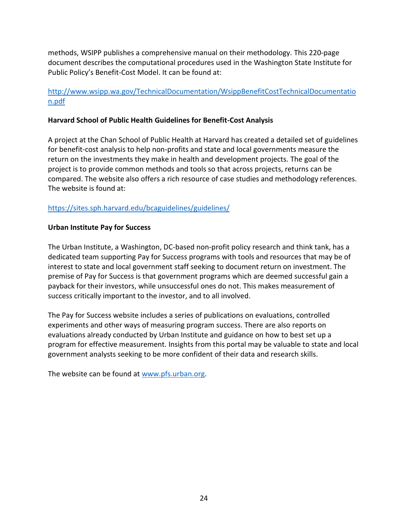methods, WSIPP publishes a comprehensive manual on their methodology. This 220-page document describes the computational procedures used in the Washington State Institute for Public Policy's Benefit-Cost Model. It can be found at:

### [http://www.wsipp.wa.gov/TechnicalDocumentation/WsippBenefitCostTechnicalDocumentatio](http://www.wsipp.wa.gov/TechnicalDocumentation/WsippBenefitCostTechnicalDocumentation.pdf) [n.pdf](http://www.wsipp.wa.gov/TechnicalDocumentation/WsippBenefitCostTechnicalDocumentation.pdf)

#### **Harvard School of Public Health Guidelines for Benefit-Cost Analysis**

A project at the Chan School of Public Health at Harvard has created a detailed set of guidelines for benefit-cost analysis to help non-profits and state and local governments measure the return on the investments they make in health and development projects. The goal of the project is to provide common methods and tools so that across projects, returns can be compared. The website also offers a rich resource of case studies and methodology references. The website is found at:

#### <https://sites.sph.harvard.edu/bcaguidelines/guidelines/>

#### **Urban Institute Pay for Success**

The Urban Institute, a Washington, DC-based non-profit policy research and think tank, has a dedicated team supporting Pay for Success programs with tools and resources that may be of interest to state and local government staff seeking to document return on investment. The premise of Pay for Success is that government programs which are deemed successful gain a payback for their investors, while unsuccessful ones do not. This makes measurement of success critically important to the investor, and to all involved.

The Pay for Success website includes a series of publications on evaluations, controlled experiments and other ways of measuring program success. There are also reports on evaluations already conducted by Urban Institute and guidance on how to best set up a program for effective measurement. Insights from this portal may be valuable to state and local government analysts seeking to be more confident of their data and research skills.

The website can be found at [www.pfs.urban.org.](http://www.pfs.urban.org/)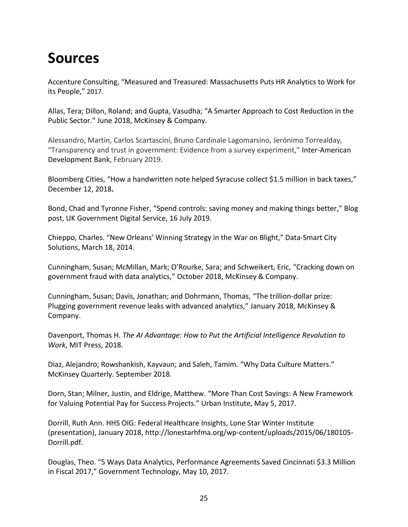# <span id="page-25-0"></span>**Sources**

Accenture Consulting, "Measured and Treasured: Massachusetts Puts HR Analytics to Work for its People," 2017.

Allas, Tera; Dillon, Roland; and Gupta, Vasudha; "A Smarter Approach to Cost Reduction in the Public Sector." June 2018, McKinsey & Company.

Alessandro, Martin, Carlos Scartascini, Bruno Cardinale Lagomarsino, Jerónimo Torrealday, "Transparency and trust in government: Evidence from a survey experiment," Inter-American Development Bank, February 2019.

Bloomberg Cities, "How a handwritten note helped Syracuse collect \$1.5 million in back taxes," December 12, 2018**.**

Bond, Chad and Tyronne Fisher, "Spend controls: saving money and making things better," Blog post, UK Government Digital Service, 16 July 2019.

Chieppo, Charles. "New Orleans' Winning Strategy in the War on Blight," Data-Smart City Solutions, March 18, 2014.

Cunningham, Susan; McMillan, Mark; O'Rourke, Sara; and Schweikert, Eric, "Cracking down on government fraud with data analytics," October 2018, McKinsey & Company.

Cunningham, Susan; Davis, Jonathan; and Dohrmann, Thomas, "The trillion-dollar prize: Plugging government revenue leaks with advanced analytics," January 2018, McKinsey & Company.

Davenport, Thomas H. *The AI Advantage: How to Put the Artificial Intelligence Revolution to Work*, MIT Press, 2018.

Diaz, Alejandro; Rowshankish, Kayvaun; and Saleh, Tamim. "Why Data Culture Matters." McKinsey Quarterly. September 2018.

Dorn, Stan; Milner, Justin, and Eldrige, Matthew. "More Than Cost Savings: A New Framework for Valuing Potential Pay for Success Projects." Urban Institute, May 5, 2017.

Dorrill, Ruth Ann. HHS OIG: Federal Healthcare Insights, Lone Star Winter Institute (presentation), January 2018, [http://lonestarhfma.org/wp-content/uploads/2015/06/180105-](http://lonestarhfma.org/wp-content/uploads/2015/06/180105-Dorrill.pdf) [Dorrill.pdf.](http://lonestarhfma.org/wp-content/uploads/2015/06/180105-Dorrill.pdf)

Douglas, Theo. "5 Ways Data Analytics, Performance Agreements Saved Cincinnati \$3.3 Million in Fiscal 2017," Government Technology, May 10, 2017.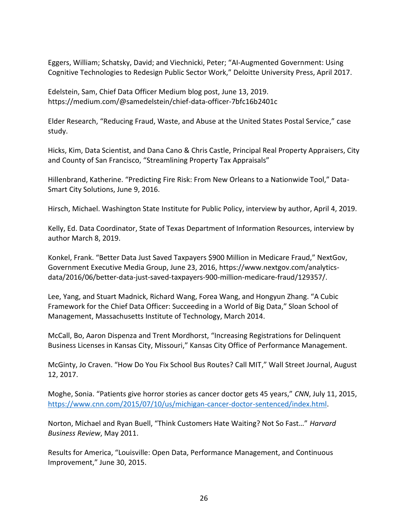Eggers, William; Schatsky, David; and Viechnicki, Peter; "AI-Augmented Government: Using Cognitive Technologies to Redesign Public Sector Work," Deloitte University Press, April 2017.

Edelstein, Sam, Chief Data Officer Medium blog post, June 13, 2019. https://medium.com/@samedelstein/chief-data-officer-7bfc16b2401c

Elder Research, "Reducing Fraud, Waste, and Abuse at the United States Postal Service," case study.

Hicks, Kim, Data Scientist, and Dana Cano & Chris Castle, Principal Real Property Appraisers, City and County of San Francisco, "Streamlining Property Tax Appraisals"

Hillenbrand, Katherine. "Predicting Fire Risk: From New Orleans to a Nationwide Tool," Data-Smart City Solutions, June 9, 2016.

Hirsch, Michael. Washington State Institute for Public Policy, interview by author, April 4, 2019.

Kelly, Ed. Data Coordinator, State of Texas Department of Information Resources, interview by author March 8, 2019.

Konkel, Frank. "Better Data Just Saved Taxpayers \$900 Million in Medicare Fraud," NextGov, Government Executive Media Group, June 23, 2016, [https://www.nextgov.com/analytics](https://www.nextgov.com/analytics-data/2016/06/better-data-just-saved-taxpayers-900-million-medicare-fraud/129357/)[data/2016/06/better-data-just-saved-taxpayers-900-million-medicare-fraud/129357/.](https://www.nextgov.com/analytics-data/2016/06/better-data-just-saved-taxpayers-900-million-medicare-fraud/129357/)

Lee, Yang, and Stuart Madnick, Richard Wang, Forea Wang, and Hongyun Zhang. "A Cubic Framework for the Chief Data Officer: Succeeding in a World of Big Data," Sloan School of Management, Massachusetts Institute of Technology, March 2014.

McCall, Bo, Aaron Dispenza and Trent Mordhorst, "Increasing Registrations for Delinquent Business Licenses in Kansas City, Missouri," Kansas City Office of Performance Management.

McGinty, Jo Craven. "How Do You Fix School Bus Routes? Call MIT," Wall Street Journal, August 12, 2017.

Moghe, Sonia. "Patients give horror stories as cancer doctor gets 45 years," *CNN*, July 11, 2015, [https://www.cnn.com/2015/07/10/us/michigan-cancer-doctor-sentenced/index.html.](https://www.cnn.com/2015/07/10/us/michigan-cancer-doctor-sentenced/index.html)

Norton, Michael and Ryan Buell, "Think Customers Hate Waiting? Not So Fast…" *Harvard Business Review*, May 2011.

Results for America, "Louisville: Open Data, Performance Management, and Continuous Improvement," June 30, 2015.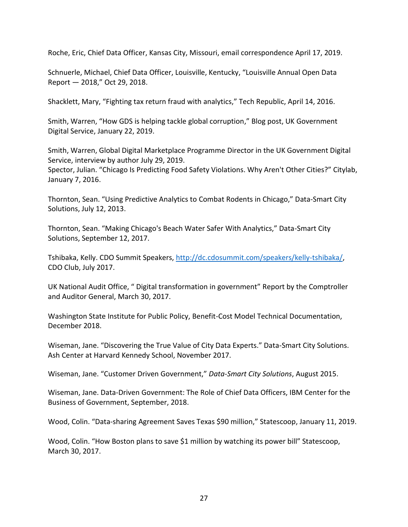Roche, Eric, Chief Data Officer, Kansas City, Missouri, email correspondence April 17, 2019.

Schnuerle, Michael, Chief Data Officer, Louisville, Kentucky, "Louisville Annual Open Data Report — 2018," Oct 29, 2018.

Shacklett, Mary, "Fighting tax return fraud with analytics," Tech Republic, April 14, 2016.

Smith, Warren, "How GDS is helping tackle global corruption," Blog post, UK Government Digital Service, January 22, 2019.

Smith, Warren, Global Digital Marketplace Programme Director in the UK Government Digital Service, interview by author July 29, 2019.

Spector, Julian. "Chicago Is Predicting Food Safety Violations. Why Aren't Other Cities?" Citylab, January 7, 2016.

Thornton, Sean. "Using Predictive Analytics to Combat Rodents in Chicago," Data-Smart City Solutions, July 12, 2013.

Thornton, Sean. "Making Chicago's Beach Water Safer With Analytics," Data-Smart City Solutions, September 12, 2017.

Tshibaka, Kelly. CDO Summit Speakers, [http://dc.cdosummit.com/speakers/kelly-tshibaka/,](http://dc.cdosummit.com/speakers/kelly-tshibaka/) CDO Club, July 2017.

UK National Audit Office, " Digital transformation in government" Report by the Comptroller and Auditor General, March 30, 2017.

Washington State Institute for Public Policy, Benefit-Cost Model Technical Documentation, December 2018.

Wiseman, Jane. "Discovering the True Value of City Data Experts." Data-Smart City Solutions. Ash Center at Harvard Kennedy School, November 2017.

Wiseman, Jane. "Customer Driven Government," *Data-Smart City Solutions*, August 2015.

Wiseman, Jane. Data-Driven Government: The Role of Chief Data Officers, IBM Center for the Business of Government, September, 2018.

Wood, Colin. "Data-sharing Agreement Saves Texas \$90 million," Statescoop, January 11, 2019.

Wood, Colin. "How Boston plans to save \$1 million by watching its power bill" Statescoop, March 30, 2017.